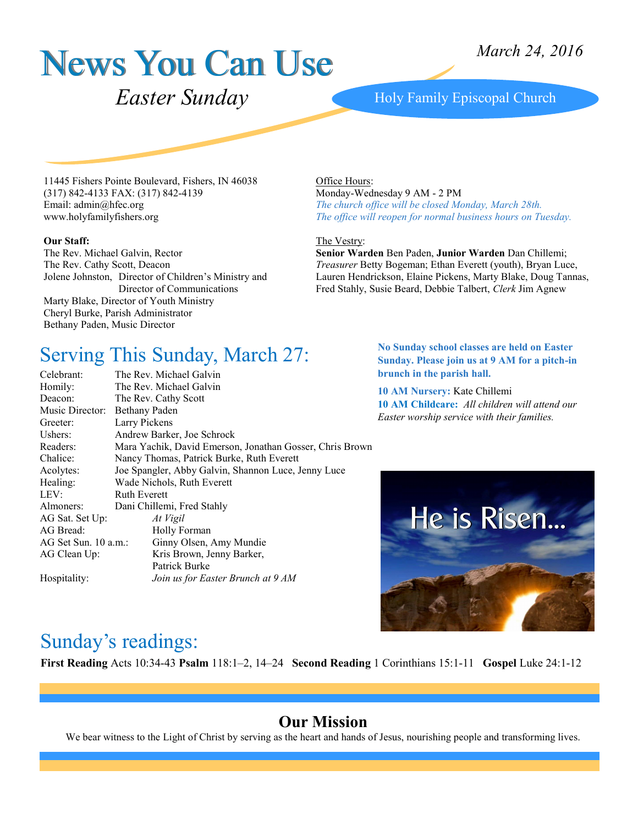# News You Can Use

*March 24, 2016*

### *Easter Sunday* Holy Family Episcopal Church

11445 Fishers Pointe Boulevard, Fishers, IN 46038 (317) 842-4133 FAX: (317) 842-4139 Email: admin@hfec.org www.holyfamilyfishers.org

#### **Our Staff:**

The Rev. Michael Galvin, Rector The Rev. Cathy Scott, Deacon Jolene Johnston, Director of Children's Ministry and Director of Communications Marty Blake, Director of Youth Ministry Cheryl Burke, Parish Administrator Bethany Paden, Music Director

Office Hours:

Monday-Wednesday 9 AM - 2 PM *The church office will be closed Monday, March 28th. The office will reopen for normal business hours on Tuesday.* 

#### The Vestry:

**Senior Warden** Ben Paden, **Junior Warden** Dan Chillemi; *Treasurer* Betty Bogeman; Ethan Everett (youth), Bryan Luce, Lauren Hendrickson, Elaine Pickens, Marty Blake, Doug Tannas, Fred Stahly, Susie Beard, Debbie Talbert, *Clerk* Jim Agnew

### Serving This Sunday, March 27:

| Celebrant:           | The Rev. Michael Galvin                                  |
|----------------------|----------------------------------------------------------|
| Homily:              | The Rev. Michael Galvin                                  |
| Deacon:              | The Rev. Cathy Scott                                     |
| Music Director:      | Bethany Paden                                            |
| Greeter:             | Larry Pickens                                            |
| Ushers:              | Andrew Barker, Joe Schrock                               |
| Readers:             | Mara Yachik, David Emerson, Jonathan Gosser, Chris Brown |
| Chalice:             | Nancy Thomas, Patrick Burke, Ruth Everett                |
| Acolytes:            | Joe Spangler, Abby Galvin, Shannon Luce, Jenny Luce      |
| Healing:             | Wade Nichols, Ruth Everett                               |
| LEV:                 | <b>Ruth Everett</b>                                      |
| Almoners:            | Dani Chillemi, Fred Stahly                               |
| AG Sat. Set Up:      | At Vigil                                                 |
| AG Bread:            | Holly Forman                                             |
| AG Set Sun. 10 a.m.: | Ginny Olsen, Amy Mundie                                  |
| AG Clean Up:         | Kris Brown, Jenny Barker,                                |
|                      | Patrick Burke                                            |
| Hospitality:         | Join us for Easter Brunch at 9 AM                        |

**No Sunday school classes are held on Easter Sunday. Please join us at 9 AM for a pitch-in brunch in the parish hall.**

**10 AM Nursery:** Kate Chillemi **10 AM Childcare:** *All children will attend our Easter worship service with their families.*



### Sunday's readings:

**First Reading** Acts 10:34-43 **Psalm** 118:1–2, 14–24 **Second Reading** 1 Corinthians 15:1-11 **Gospel** Luke 24:1-12

### **Our Mission**

We bear witness to the Light of Christ by serving as the heart and hands of Jesus, nourishing people and transforming lives.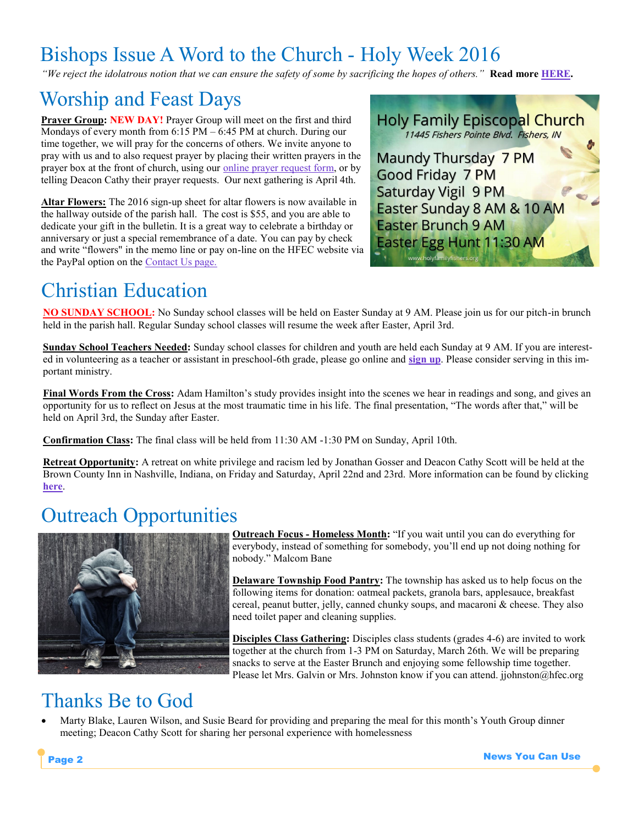# Bishops Issue A Word to the Church - Holy Week 2016

*"We reject the idolatrous notion that we can ensure the safety of some by sacrificing the hopes of others."* **Read more [HERE.](http://www.holyfamilyfishers.org/a-word-to-the-church-holy-week-2016/)** 

# Worship and Feast Days

**Prayer Group: NEW DAY!** Prayer Group will meet on the first and third Mondays of every month from  $6:15 \text{ PM} - 6:45 \text{ PM}$  at church. During our time together, we will pray for the concerns of others. We invite anyone to pray with us and to also request prayer by placing their written prayers in the prayer box at the front of church, using our [online prayer request form,](http://www.holyfamilyfishers.org/contact-us/) or by telling Deacon Cathy their prayer requests. Our next gathering is April 4th.

**Altar Flowers:** The 2016 sign-up sheet for altar flowers is now available in the hallway outside of the parish hall. The cost is \$55, and you are able to dedicate your gift in the bulletin. It is a great way to celebrate a birthday or anniversary or just a special remembrance of a date. You can pay by check and write "flowers" in the memo line or pay on-line on the HFEC website via the PayPal option on the [Contact Us page.](http://www.holyfamilyfishers.org/contact-us/)



# Christian Education

**NO SUNDAY SCHOOL:** No Sunday school classes will be held on Easter Sunday at 9 AM. Please join us for our pitch-in brunch held in the parish hall. Regular Sunday school classes will resume the week after Easter, April 3rd.

**Sunday School Teachers Needed:** Sunday school classes for children and youth are held each Sunday at 9 AM. If you are interested in volunteering as a teacher or assistant in preschool-6th grade, please go online and **[sign up](http://www.signupgenius.com/go/20f084aadaf23a3fd0-sunday1)**. Please consider serving in this important ministry.

**Final Words From the Cross:** Adam Hamilton's study provides insight into the scenes we hear in readings and song, and gives an opportunity for us to reflect on Jesus at the most traumatic time in his life. The final presentation, "The words after that," will be held on April 3rd, the Sunday after Easter.

**Confirmation Class:** The final class will be held from 11:30 AM -1:30 PM on Sunday, April 10th.

**Retreat Opportunity:** A retreat on white privilege and racism led by Jonathan Gosser and Deacon Cathy Scott will be held at the Brown County Inn in Nashville, Indiana, on Friday and Saturday, April 22nd and 23rd. More information can be found by clicking **[here](http://www.holyfamilyfishers.org/hp_wordpress/wp-content/uploads/2016/02/Gosser-Retreat.pdf)**.

### Outreach Opportunities



**Outreach Focus - Homeless Month:** "If you wait until you can do everything for everybody, instead of something for somebody, you'll end up not doing nothing for nobody." Malcom Bane

**Delaware Township Food Pantry:** The township has asked us to help focus on the following items for donation: oatmeal packets, granola bars, applesauce, breakfast cereal, peanut butter, jelly, canned chunky soups, and macaroni & cheese. They also need toilet paper and cleaning supplies.

**Disciples Class Gathering:** Disciples class students (grades 4-6) are invited to work together at the church from 1-3 PM on Saturday, March 26th. We will be preparing snacks to serve at the Easter Brunch and enjoying some fellowship time together. Please let Mrs. Galvin or Mrs. Johnston know if you can attend. jjohnston@hfec.org

# Thanks Be to God

 Marty Blake, Lauren Wilson, and Susie Beard for providing and preparing the meal for this month's Youth Group dinner meeting; Deacon Cathy Scott for sharing her personal experience with homelessness

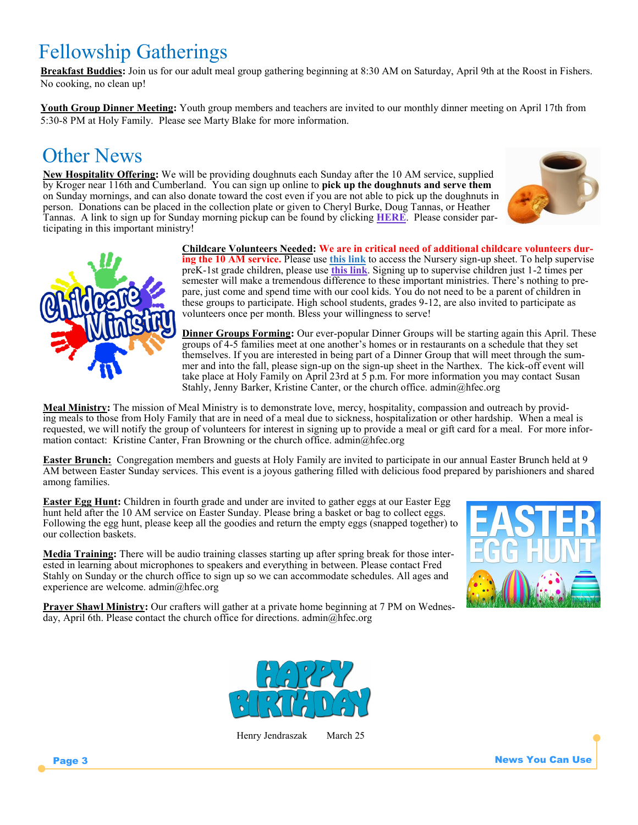# Fellowship Gatherings

**Breakfast Buddies:** Join us for our adult meal group gathering beginning at 8:30 AM on Saturday, April 9th at the Roost in Fishers. No cooking, no clean up!

**Youth Group Dinner Meeting:** Youth group members and teachers are invited to our monthly dinner meeting on April 17th from 5:30-8 PM at Holy Family. Please see Marty Blake for more information.

# Other News

**New Hospitality Offering:** We will be providing doughnuts each Sunday after the 10 AM service, supplied by Kroger near 116th and Cumberland. You can sign up online to **pick up the doughnuts and serve them**  on Sunday mornings, and can also donate toward the cost even if you are not able to pick up the doughnuts in person. Donations can be placed in the collection plate or given to Cheryl Burke, Doug Tannas, or Heather Tannas. A link to sign up for Sunday morning pickup can be found by clicking **[HERE](http://www.signupgenius.com/go/20f0f4ca9a62ba1fb6-holy)**. Please consider participating in this important ministry!





**Childcare Volunteers Needed: We are in critical need of additional childcare volunteers during the 10 AM service.** Please use **[this link](http://www.signupgenius.com/go/20f084aadaf23a3fd0-10amnursery)** to access the Nursery sign-up sheet. To help supervise preK-1st grade children, please use **[this link](http://www.signupgenius.com/go/10c0d48a5ae2da6fe3-10amchildcare/25710810)**. Signing up to supervise children just 1-2 times per semester will make a tremendous difference to these important ministries. There's nothing to prepare, just come and spend time with our cool kids. You do not need to be a parent of children in these groups to participate. High school students, grades 9-12, are also invited to participate as volunteers once per month. Bless your willingness to serve!

**Dinner Groups Forming:** Our ever-popular Dinner Groups will be starting again this April. These groups of 4-5 families meet at one another's homes or in restaurants on a schedule that they set themselves. If you are interested in being part of a Dinner Group that will meet through the summer and into the fall, please sign-up on the sign-up sheet in the Narthex. The kick-off event will take place at Holy Family on April 23rd at 5 p.m. For more information you may contact Susan Stahly, Jenny Barker, Kristine Canter, or the church office. admin@hfec.org

**Meal Ministry:** The mission of Meal Ministry is to demonstrate love, mercy, hospitality, compassion and outreach by providing meals to those from Holy Family that are in need of a meal due to sickness, hospitalization or other hardship. When a meal is requested, we will notify the group of volunteers for interest in signing up to provide a meal or gift card for a meal. For more information contact: Kristine Canter, Fran Browning or the church office. admin@hfec.org

**Easter Brunch:** Congregation members and guests at Holy Family are invited to participate in our annual Easter Brunch held at 9 AM between Easter Sunday services. This event is a joyous gathering filled with delicious food prepared by parishioners and shared among families.

**Easter Egg Hunt:** Children in fourth grade and under are invited to gather eggs at our Easter Egg hunt held after the 10 AM service on Easter Sunday. Please bring a basket or bag to collect eggs. Following the egg hunt, please keep all the goodies and return the empty eggs (snapped together) to our collection baskets.

**Media Training:** There will be audio training classes starting up after spring break for those interested in learning about microphones to speakers and everything in between. Please contact Fred Stahly on Sunday or the church office to sign up so we can accommodate schedules. All ages and experience are welcome. admin@hfec.org



**Prayer Shawl Ministry:** Our crafters will gather at a private home beginning at 7 PM on Wednesday, April 6th. Please contact the church office for directions. admin@hfec.org



Henry Jendraszak March 25